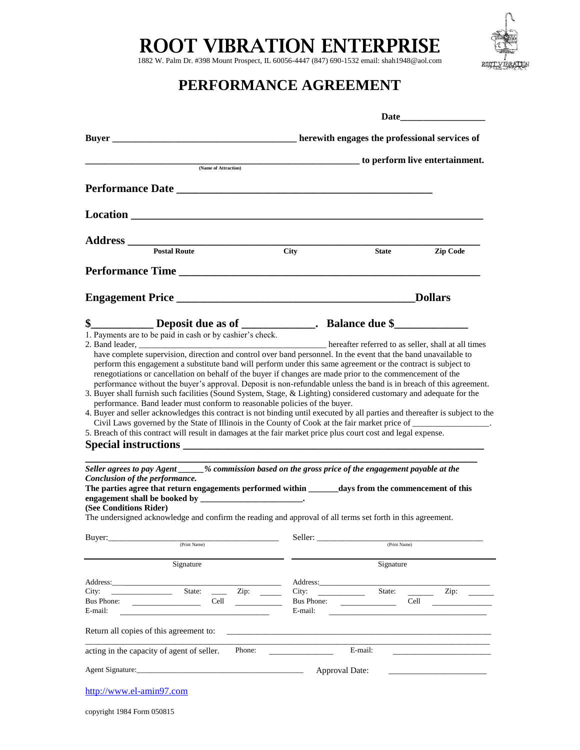## **ROOT VIBRATION ENTERPRISE**

1882 W. Palm Dr. #398 Mount Prospect, IL 60056-4447 (847) 690-1532 email: shah1948@aol.com



### **PERFORMANCE AGREEMENT**

|                                                                                                                                                                                                                                                                                                                                                                                                                                                                                                                                                                                                                                                                                                                                                                                                                                                                                                                                                                                                                                                                                    |                                               | Date           |                 |  |  |
|------------------------------------------------------------------------------------------------------------------------------------------------------------------------------------------------------------------------------------------------------------------------------------------------------------------------------------------------------------------------------------------------------------------------------------------------------------------------------------------------------------------------------------------------------------------------------------------------------------------------------------------------------------------------------------------------------------------------------------------------------------------------------------------------------------------------------------------------------------------------------------------------------------------------------------------------------------------------------------------------------------------------------------------------------------------------------------|-----------------------------------------------|----------------|-----------------|--|--|
|                                                                                                                                                                                                                                                                                                                                                                                                                                                                                                                                                                                                                                                                                                                                                                                                                                                                                                                                                                                                                                                                                    | herewith engages the professional services of |                |                 |  |  |
|                                                                                                                                                                                                                                                                                                                                                                                                                                                                                                                                                                                                                                                                                                                                                                                                                                                                                                                                                                                                                                                                                    | to perform live entertainment.                |                |                 |  |  |
| (Name of Attraction)                                                                                                                                                                                                                                                                                                                                                                                                                                                                                                                                                                                                                                                                                                                                                                                                                                                                                                                                                                                                                                                               |                                               |                |                 |  |  |
|                                                                                                                                                                                                                                                                                                                                                                                                                                                                                                                                                                                                                                                                                                                                                                                                                                                                                                                                                                                                                                                                                    |                                               |                |                 |  |  |
|                                                                                                                                                                                                                                                                                                                                                                                                                                                                                                                                                                                                                                                                                                                                                                                                                                                                                                                                                                                                                                                                                    |                                               |                |                 |  |  |
|                                                                                                                                                                                                                                                                                                                                                                                                                                                                                                                                                                                                                                                                                                                                                                                                                                                                                                                                                                                                                                                                                    |                                               |                |                 |  |  |
| <b>Postal Route</b>                                                                                                                                                                                                                                                                                                                                                                                                                                                                                                                                                                                                                                                                                                                                                                                                                                                                                                                                                                                                                                                                | <b>City</b>                                   | <b>State</b>   | <b>Zip Code</b> |  |  |
| Performance Time                                                                                                                                                                                                                                                                                                                                                                                                                                                                                                                                                                                                                                                                                                                                                                                                                                                                                                                                                                                                                                                                   |                                               |                |                 |  |  |
|                                                                                                                                                                                                                                                                                                                                                                                                                                                                                                                                                                                                                                                                                                                                                                                                                                                                                                                                                                                                                                                                                    |                                               |                | <b>Dollars</b>  |  |  |
| \$______________Deposit due as of _______________. Balance due \$_________________                                                                                                                                                                                                                                                                                                                                                                                                                                                                                                                                                                                                                                                                                                                                                                                                                                                                                                                                                                                                 |                                               |                |                 |  |  |
| renegotiations or cancellation on behalf of the buyer if changes are made prior to the commencement of the<br>performance without the buyer's approval. Deposit is non-refundable unless the band is in breach of this agreement.<br>3. Buyer shall furnish such facilities (Sound System, Stage, & Lighting) considered customary and adequate for the<br>performance. Band leader must conform to reasonable policies of the buyer.<br>4. Buyer and seller acknowledges this contract is not binding until executed by all parties and thereafter is subject to the<br>5. Breach of this contract will result in damages at the fair market price plus court cost and legal expense.<br>Seller agrees to pay Agent ____% commission based on the gross price of the engagement payable at the<br>Conclusion of the performance.<br>The parties agree that return engagements performed within _______ days from the commencement of this<br>(See Conditions Rider)<br>The undersigned acknowledge and confirm the reading and approval of all terms set forth in this agreement. |                                               |                |                 |  |  |
| Buyer:                                                                                                                                                                                                                                                                                                                                                                                                                                                                                                                                                                                                                                                                                                                                                                                                                                                                                                                                                                                                                                                                             |                                               |                |                 |  |  |
| (Print Name)                                                                                                                                                                                                                                                                                                                                                                                                                                                                                                                                                                                                                                                                                                                                                                                                                                                                                                                                                                                                                                                                       |                                               | (Print Name)   |                 |  |  |
| Signature                                                                                                                                                                                                                                                                                                                                                                                                                                                                                                                                                                                                                                                                                                                                                                                                                                                                                                                                                                                                                                                                          |                                               | Signature      |                 |  |  |
| Address:                                                                                                                                                                                                                                                                                                                                                                                                                                                                                                                                                                                                                                                                                                                                                                                                                                                                                                                                                                                                                                                                           | Address:                                      |                |                 |  |  |
| State:<br>Zip: $\qquad \qquad$<br>City:<br>Bus Phone:<br>Cell<br>E-mail:                                                                                                                                                                                                                                                                                                                                                                                                                                                                                                                                                                                                                                                                                                                                                                                                                                                                                                                                                                                                           | City:<br><b>Bus Phone:</b><br>E-mail:         | State:         | Zip:<br>Cell    |  |  |
| Return all copies of this agreement to:                                                                                                                                                                                                                                                                                                                                                                                                                                                                                                                                                                                                                                                                                                                                                                                                                                                                                                                                                                                                                                            |                                               |                |                 |  |  |
| acting in the capacity of agent of seller.<br>Phone:                                                                                                                                                                                                                                                                                                                                                                                                                                                                                                                                                                                                                                                                                                                                                                                                                                                                                                                                                                                                                               |                                               | E-mail:        |                 |  |  |
|                                                                                                                                                                                                                                                                                                                                                                                                                                                                                                                                                                                                                                                                                                                                                                                                                                                                                                                                                                                                                                                                                    |                                               | Approval Date: |                 |  |  |
| http://www.el-amin97.com                                                                                                                                                                                                                                                                                                                                                                                                                                                                                                                                                                                                                                                                                                                                                                                                                                                                                                                                                                                                                                                           |                                               |                |                 |  |  |